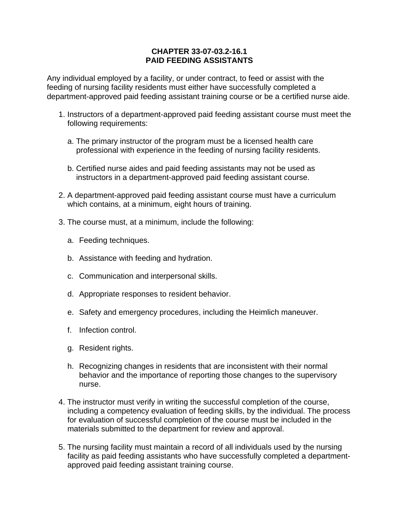## **CHAPTER 33-07-03.2-16.1 PAID FEEDING ASSISTANTS**

Any individual employed by a facility, or under contract, to feed or assist with the feeding of nursing facility residents must either have successfully completed a department-approved paid feeding assistant training course or be a certified nurse aide.

- 1. Instructors of a department-approved paid feeding assistant course must meet the following requirements:
	- a. The primary instructor of the program must be a licensed health care professional with experience in the feeding of nursing facility residents.
	- b. Certified nurse aides and paid feeding assistants may not be used as instructors in a department-approved paid feeding assistant course.
- 2. A department-approved paid feeding assistant course must have a curriculum which contains, at a minimum, eight hours of training.
- 3. The course must, at a minimum, include the following:
	- a. Feeding techniques.
	- b. Assistance with feeding and hydration.
	- c. Communication and interpersonal skills.
	- d. Appropriate responses to resident behavior.
	- e. Safety and emergency procedures, including the Heimlich maneuver.
	- f. Infection control.
	- g. Resident rights.
	- h. Recognizing changes in residents that are inconsistent with their normal behavior and the importance of reporting those changes to the supervisory nurse.
- 4. The instructor must verify in writing the successful completion of the course, including a competency evaluation of feeding skills, by the individual. The process for evaluation of successful completion of the course must be included in the materials submitted to the department for review and approval.
- 5. The nursing facility must maintain a record of all individuals used by the nursing facility as paid feeding assistants who have successfully completed a departmentapproved paid feeding assistant training course.